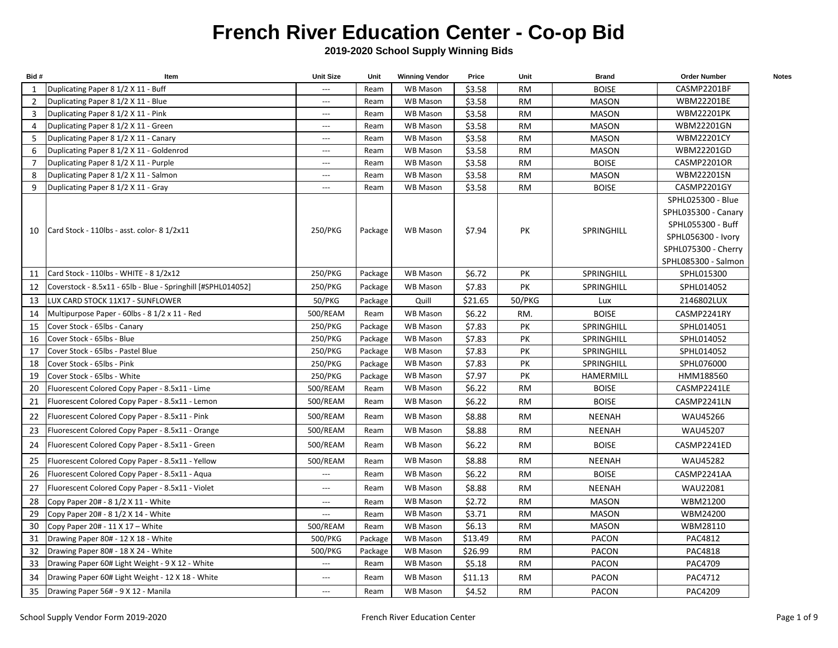## **French River Education Center - Co-op Bid**

**2019-2020 School Supply Winning Bids**

| Bid# | Item                                                         | <b>Unit Size</b>         | Unit    | <b>Winning Vendor</b> | Price   | Unit      | <b>Brand</b>      | <b>Order Number</b> | <b>Notes</b> |
|------|--------------------------------------------------------------|--------------------------|---------|-----------------------|---------|-----------|-------------------|---------------------|--------------|
| 1    | Duplicating Paper 8 1/2 X 11 - Buff                          | $\hspace{0.05cm} \ldots$ | Ream    | <b>WB Mason</b>       | \$3.58  | <b>RM</b> | <b>BOISE</b>      | CASMP2201BF         |              |
| 2    | Duplicating Paper 8 1/2 X 11 - Blue                          | $---$                    | Ream    | WB Mason              | \$3.58  | <b>RM</b> | <b>MASON</b>      | WBM22201BE          |              |
| 3    | Duplicating Paper 8 1/2 X 11 - Pink                          | $\overline{\phantom{a}}$ | Ream    | <b>WB Mason</b>       | \$3.58  | <b>RM</b> | <b>MASON</b>      | <b>WBM22201PK</b>   |              |
| 4    | Duplicating Paper 8 1/2 X 11 - Green                         | $\overline{\phantom{a}}$ | Ream    | <b>WB Mason</b>       | \$3.58  | <b>RM</b> | <b>MASON</b>      | <b>WBM22201GN</b>   |              |
| 5    | Duplicating Paper 8 1/2 X 11 - Canary                        | $\overline{\phantom{a}}$ | Ream    | <b>WB Mason</b>       | \$3.58  | <b>RM</b> | MASON             | <b>WBM22201CY</b>   |              |
| 6    | Duplicating Paper 8 1/2 X 11 - Goldenrod                     | $---$                    | Ream    | <b>WB Mason</b>       | \$3.58  | <b>RM</b> | <b>MASON</b>      | WBM22201GD          |              |
| 7    | Duplicating Paper 8 1/2 X 11 - Purple                        | $\overline{\phantom{a}}$ | Ream    | <b>WB Mason</b>       | \$3.58  | <b>RM</b> | <b>BOISE</b>      | CASMP2201OR         |              |
| 8    | Duplicating Paper 8 1/2 X 11 - Salmon                        | $\overline{\phantom{a}}$ | Ream    | <b>WB Mason</b>       | \$3.58  | <b>RM</b> | <b>MASON</b>      | WBM22201SN          |              |
| 9    | Duplicating Paper 8 1/2 X 11 - Gray                          | $\overline{\phantom{a}}$ | Ream    | <b>WB Mason</b>       | \$3.58  | <b>RM</b> | <b>BOISE</b>      | CASMP2201GY         |              |
|      |                                                              |                          |         |                       |         |           |                   | SPHL025300 - Blue   |              |
|      |                                                              |                          |         |                       |         |           |                   | SPHL035300 - Canary |              |
|      | 10   Card Stock - 110lbs - asst. color- 8 1/2x11             | 250/PKG                  | Package | <b>WB Mason</b>       | \$7.94  | PK        | <b>SPRINGHILL</b> | SPHL055300 - Buff   |              |
|      |                                                              |                          |         |                       |         |           |                   | SPHL056300 - Ivory  |              |
|      |                                                              |                          |         |                       |         |           |                   | SPHL075300 - Cherry |              |
|      |                                                              |                          |         |                       |         |           |                   | SPHL085300 - Salmon |              |
| 11   | Card Stock - 110lbs - WHITE - 8 1/2x12                       | 250/PKG                  | Package | <b>WB Mason</b>       | \$6.72  | PK        | <b>SPRINGHILL</b> | SPHL015300          |              |
| 12   | Coverstock - 8.5x11 - 65lb - Blue - Springhill [#SPHL014052] | 250/PKG                  | Package | <b>WB Mason</b>       | \$7.83  | PК        | <b>SPRINGHILL</b> | SPHL014052          |              |
| 13   | LUX CARD STOCK 11X17 - SUNFLOWER                             | 50/PKG                   | Package | Quill                 | \$21.65 | 50/PKG    | Lux               | 2146802LUX          |              |
| 14   | Multipurpose Paper - 60lbs - 8 1/2 x 11 - Red                | 500/REAM                 | Ream    | <b>WB Mason</b>       | \$6.22  | RM.       | <b>BOISE</b>      | CASMP2241RY         |              |
| 15   | Cover Stock - 65lbs - Canary                                 | 250/PKG                  | Package | <b>WB Mason</b>       | \$7.83  | PK        | SPRINGHILL        | SPHL014051          |              |
| 16   | Cover Stock - 65lbs - Blue                                   | 250/PKG                  | Package | WB Mason              | \$7.83  | PK        | SPRINGHILL        | SPHL014052          |              |
| 17   | Cover Stock - 65lbs - Pastel Blue                            | 250/PKG                  | Package | <b>WB Mason</b>       | \$7.83  | PK        | SPRINGHILL        | SPHL014052          |              |
| 18   | Cover Stock - 65lbs - Pink                                   | 250/PKG                  | Package | <b>WB Mason</b>       | \$7.83  | PK        | SPRINGHILL        | SPHL076000          |              |
| 19   | Cover Stock - 65lbs - White                                  | 250/PKG                  | Package | <b>WB Mason</b>       | \$7.97  | PK        | HAMERMILL         | HMM188560           |              |
| 20   | Fluorescent Colored Copy Paper - 8.5x11 - Lime               | 500/REAM                 | Ream    | <b>WB Mason</b>       | \$6.22  | <b>RM</b> | <b>BOISE</b>      | CASMP2241LE         |              |
| 21   | Fluorescent Colored Copy Paper - 8.5x11 - Lemon              | 500/REAM                 | Ream    | <b>WB Mason</b>       | \$6.22  | <b>RM</b> | <b>BOISE</b>      | CASMP2241LN         |              |
| 22   | Fluorescent Colored Copy Paper - 8.5x11 - Pink               | 500/REAM                 | Ream    | <b>WB Mason</b>       | \$8.88  | <b>RM</b> | NEENAH            | WAU45266            |              |
| 23   | Fluorescent Colored Copy Paper - 8.5x11 - Orange             | 500/REAM                 | Ream    | <b>WB Mason</b>       | \$8.88  | <b>RM</b> | NEENAH            | WAU45207            |              |
| 24   | Fluorescent Colored Copy Paper - 8.5x11 - Green              | 500/REAM                 | Ream    | <b>WB Mason</b>       | \$6.22  | <b>RM</b> | <b>BOISE</b>      | CASMP2241ED         |              |
| 25   | Fluorescent Colored Copy Paper - 8.5x11 - Yellow             | 500/REAM                 | Ream    | <b>WB Mason</b>       | \$8.88  | <b>RM</b> | NEENAH            | <b>WAU45282</b>     |              |
| 26   | Fluorescent Colored Copy Paper - 8.5x11 - Aqua               | $\hspace{0.05cm} \ldots$ | Ream    | <b>WB Mason</b>       | \$6.22  | <b>RM</b> | <b>BOISE</b>      | CASMP2241AA         |              |
| 27   | Fluorescent Colored Copy Paper - 8.5x11 - Violet             | ---                      | Ream    | <b>WB Mason</b>       | \$8.88  | <b>RM</b> | <b>NEENAH</b>     | WAU22081            |              |
| 28   | Copy Paper 20# - 8 1/2 X 11 - White                          | $\overline{\phantom{a}}$ | Ream    | <b>WB Mason</b>       | \$2.72  | <b>RM</b> | <b>MASON</b>      | WBM21200            |              |
| 29   | Copy Paper 20# - 8 1/2 X 14 - White                          |                          | Ream    | <b>WB Mason</b>       | \$3.71  | <b>RM</b> | <b>MASON</b>      | WBM24200            |              |
| 30   | Copy Paper 20# - 11 X 17 - White                             | 500/REAM                 | Ream    | <b>WB Mason</b>       | \$6.13  | <b>RM</b> | <b>MASON</b>      | WBM28110            |              |
| 31   | Drawing Paper 80# - 12 X 18 - White                          | 500/PKG                  | Package | WB Mason              | \$13.49 | <b>RM</b> | PACON             | PAC4812             |              |
| 32   | Drawing Paper 80# - 18 X 24 - White                          | 500/PKG                  | Package | <b>WB Mason</b>       | \$26.99 | <b>RM</b> | <b>PACON</b>      | PAC4818             |              |
| 33   | Drawing Paper 60# Light Weight - 9 X 12 - White              | $\hspace{0.05cm} \ldots$ | Ream    | <b>WB Mason</b>       | \$5.18  | <b>RM</b> | <b>PACON</b>      | PAC4709             |              |
| 34   | Drawing Paper 60# Light Weight - 12 X 18 - White             | $\qquad \qquad - -$      | Ream    | <b>WB Mason</b>       | \$11.13 | <b>RM</b> | PACON             | PAC4712             |              |
| 35   | Drawing Paper 56# - 9 X 12 - Manila                          | $\overline{\phantom{a}}$ | Ream    | <b>WB Mason</b>       | \$4.52  | <b>RM</b> | PACON             | PAC4209             |              |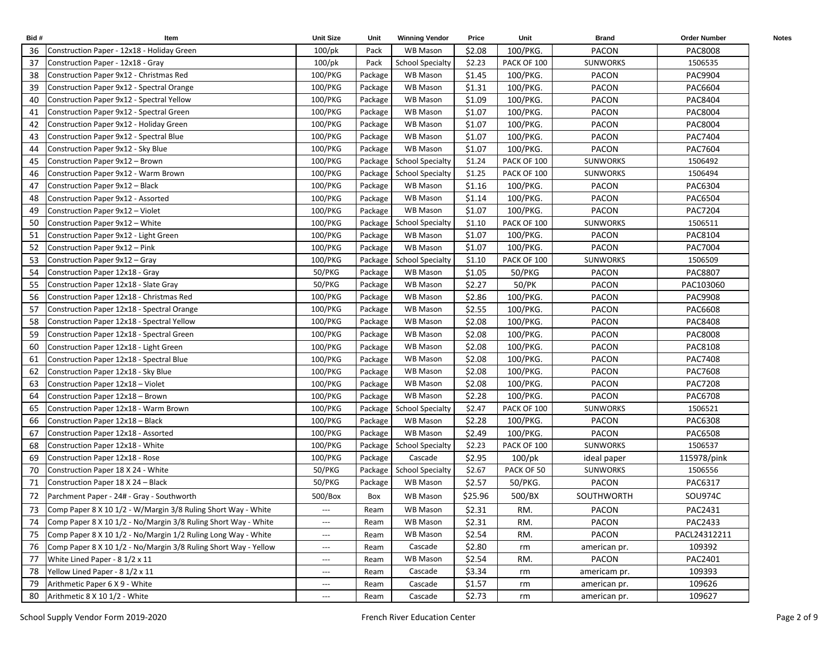| Bid# | Item                                                            | <b>Unit Size</b>              | Unit    | <b>Winning Vendor</b>      | Price   | Unit        | <b>Brand</b>    | <b>Order Number</b> | <b>Notes</b> |
|------|-----------------------------------------------------------------|-------------------------------|---------|----------------------------|---------|-------------|-----------------|---------------------|--------------|
| 36   | Construction Paper - 12x18 - Holiday Green                      | $100$ /pk                     | Pack    | WB Mason                   | \$2.08  | 100/PKG.    | <b>PACON</b>    | PAC8008             |              |
| 37   | Construction Paper - 12x18 - Gray                               | $100$ /pk                     | Pack    | <b>School Specialty</b>    | \$2.23  | PACK OF 100 | <b>SUNWORKS</b> | 1506535             |              |
| 38   | Construction Paper 9x12 - Christmas Red                         | 100/PKG                       | Package | <b>WB Mason</b>            | \$1.45  | 100/PKG.    | <b>PACON</b>    | PAC9904             |              |
| 39   | Construction Paper 9x12 - Spectral Orange                       | 100/PKG                       | Package | WB Mason                   | \$1.31  | 100/PKG.    | <b>PACON</b>    | PAC6604             |              |
| 40   | Construction Paper 9x12 - Spectral Yellow                       | 100/PKG                       | Package | <b>WB Mason</b>            | \$1.09  | 100/PKG.    | <b>PACON</b>    | PAC8404             |              |
| 41   | Construction Paper 9x12 - Spectral Green                        | 100/PKG                       | Package | <b>WB Mason</b>            | \$1.07  | 100/PKG.    | PACON           | PAC8004             |              |
| 42   | Construction Paper 9x12 - Holiday Green                         | 100/PKG                       | Package | <b>WB Mason</b>            | \$1.07  | 100/PKG.    | PACON           | PAC8004             |              |
| 43   | Construction Paper 9x12 - Spectral Blue                         | 100/PKG                       | Package | WB Mason                   | \$1.07  | 100/PKG.    | PACON           | PAC7404             |              |
| 44   | Construction Paper 9x12 - Sky Blue                              | 100/PKG                       | Package | WB Mason                   | \$1.07  | 100/PKG.    | <b>PACON</b>    | PAC7604             |              |
| 45   | Construction Paper 9x12 - Brown                                 | 100/PKG                       |         | Package School Specialty   | \$1.24  | PACK OF 100 | <b>SUNWORKS</b> | 1506492             |              |
| 46   | Construction Paper 9x12 - Warm Brown                            | 100/PKG                       | Package | <b>School Specialty</b>    | \$1.25  | PACK OF 100 | <b>SUNWORKS</b> | 1506494             |              |
| 47   | Construction Paper 9x12 - Black                                 | 100/PKG                       | Package | WB Mason                   | \$1.16  | 100/PKG.    | <b>PACON</b>    | PAC6304             |              |
| 48   | Construction Paper 9x12 - Assorted                              | 100/PKG                       | Package | WB Mason                   | \$1.14  | 100/PKG.    | <b>PACON</b>    | PAC6504             |              |
| 49   | Construction Paper 9x12 - Violet                                | 100/PKG                       | Package | WB Mason                   | \$1.07  | 100/PKG.    | PACON           | PAC7204             |              |
| 50   | Construction Paper 9x12 - White                                 | 100/PKG                       |         | Package   School Specialty | \$1.10  | PACK OF 100 | <b>SUNWORKS</b> | 1506511             |              |
| 51   | Construction Paper 9x12 - Light Green                           | 100/PKG                       | Package | WB Mason                   | \$1.07  | 100/PKG.    | PACON           | PAC8104             |              |
| 52   | Construction Paper 9x12 - Pink                                  | 100/PKG                       | Package | WB Mason                   | \$1.07  | 100/PKG.    | <b>PACON</b>    | PAC7004             |              |
| 53   | Construction Paper 9x12 - Gray                                  | 100/PKG                       |         | Package School Specialty   | \$1.10  | PACK OF 100 | <b>SUNWORKS</b> | 1506509             |              |
| 54   | Construction Paper 12x18 - Gray                                 | 50/PKG                        | Package | WB Mason                   | \$1.05  | 50/PKG      | <b>PACON</b>    | PAC8807             |              |
| 55   | Construction Paper 12x18 - Slate Gray                           | 50/PKG                        | Package | WB Mason                   | \$2.27  | 50/PK       | <b>PACON</b>    | PAC103060           |              |
| 56   | Construction Paper 12x18 - Christmas Red                        | 100/PKG                       | Package | WB Mason                   | \$2.86  | 100/PKG.    | <b>PACON</b>    | PAC9908             |              |
| 57   | Construction Paper 12x18 - Spectral Orange                      | 100/PKG                       | Package | <b>WB Mason</b>            | \$2.55  | 100/PKG.    | <b>PACON</b>    | PAC6608             |              |
| 58   | Construction Paper 12x18 - Spectral Yellow                      | 100/PKG                       | Package | <b>WB Mason</b>            | \$2.08  | 100/PKG.    | <b>PACON</b>    | PAC8408             |              |
| 59   | Construction Paper 12x18 - Spectral Green                       | 100/PKG                       | Package | <b>WB Mason</b>            | \$2.08  | 100/PKG.    | <b>PACON</b>    | PAC8008             |              |
| 60   | Construction Paper 12x18 - Light Green                          | 100/PKG                       | Package | <b>WB Mason</b>            | \$2.08  | 100/PKG.    | PACON           | PAC8108             |              |
| 61   | Construction Paper 12x18 - Spectral Blue                        | 100/PKG                       | Package | <b>WB Mason</b>            | \$2.08  | 100/PKG.    | PACON           | PAC7408             |              |
| 62   | Construction Paper 12x18 - Sky Blue                             | 100/PKG                       | Package | WB Mason                   | \$2.08  | 100/PKG.    | PACON           | <b>PAC7608</b>      |              |
| 63   | Construction Paper 12x18 - Violet                               | 100/PKG                       | Package | WB Mason                   | \$2.08  | 100/PKG.    | <b>PACON</b>    | <b>PAC7208</b>      |              |
| 64   | Construction Paper 12x18 - Brown                                | 100/PKG                       | Package | WB Mason                   | \$2.28  | 100/PKG.    | <b>PACON</b>    | PAC6708             |              |
| 65   | Construction Paper 12x18 - Warm Brown                           | 100/PKG                       | Package | <b>School Specialty</b>    | \$2.47  | PACK OF 100 | <b>SUNWORKS</b> | 1506521             |              |
| 66   | Construction Paper 12x18 – Black                                | 100/PKG                       | Package | WB Mason                   | \$2.28  | 100/PKG.    | <b>PACON</b>    | PAC6308             |              |
| 67   | Construction Paper 12x18 - Assorted                             | 100/PKG                       | Package | WB Mason                   | \$2.49  | 100/PKG.    | <b>PACON</b>    | PAC6508             |              |
| 68   | Construction Paper 12x18 - White                                | 100/PKG                       |         | Package   School Specialty | \$2.23  | PACK OF 100 | <b>SUNWORKS</b> | 1506537             |              |
| 69   | Construction Paper 12x18 - Rose                                 | 100/PKG                       | Package | Cascade                    | \$2.95  | 100/pk      | ideal paper     | 115978/pink         |              |
| 70   | Construction Paper 18 X 24 - White                              | 50/PKG                        |         | Package   School Specialty | \$2.67  | PACK OF 50  | <b>SUNWORKS</b> | 1506556             |              |
| 71   | Construction Paper 18 X 24 - Black                              | 50/PKG                        | Package | WB Mason                   | \$2.57  | 50/PKG.     | PACON           | PAC6317             |              |
| 72   | Parchment Paper - 24# - Gray - Southworth                       | 500/Box                       | Box     | WB Mason                   | \$25.96 | 500/BX      | SOUTHWORTH      | SOU974C             |              |
| 73   | Comp Paper 8 X 10 1/2 - W/Margin 3/8 Ruling Short Way - White   | $\hspace{0.05cm} \cdots$      | Ream    | WB Mason                   | \$2.31  | RM.         | PACON           | PAC2431             |              |
| 74   | Comp Paper 8 X 10 1/2 - No/Margin 3/8 Ruling Short Way - White  | $\overline{\phantom{a}}$      | Ream    | <b>WB Mason</b>            | \$2.31  | RM.         | PACON           | PAC2433             |              |
| 75   | Comp Paper 8 X 10 1/2 - No/Margin 1/2 Ruling Long Way - White   | $\hspace{0.05cm} \ldots$      | Ream    | <b>WB Mason</b>            | \$2.54  | RM.         | PACON           | PACL24312211        |              |
| 76   | Comp Paper 8 X 10 1/2 - No/Margin 3/8 Ruling Short Way - Yellow | $\hspace{0.05cm} \ldots$      | Ream    | Cascade                    | \$2.80  | rm          | american pr.    | 109392              |              |
| 77   | White Lined Paper - 8 1/2 x 11                                  | $\hspace{1.5cm} \textbf{---}$ | Ream    | <b>WB Mason</b>            | \$2.54  | RM.         | PACON           | PAC2401             |              |
| 78   | Yellow Lined Paper - 8 1/2 x 11                                 | $\hspace{1.5cm} \textbf{---}$ | Ream    | Cascade                    | \$3.34  | rm          | americam pr.    | 109393              |              |
| 79   | Arithmetic Paper 6 X 9 - White                                  | $\hspace{0.05cm} \ldots$      | Ream    | Cascade                    | \$1.57  | rm          | american pr.    | 109626              |              |
| 80   | Arithmetic 8 X 10 1/2 - White                                   | $\hspace{0.05cm} \ldots$      | Ream    | Cascade                    | \$2.73  | rm          | american pr.    | 109627              |              |
|      |                                                                 |                               |         |                            |         |             |                 |                     |              |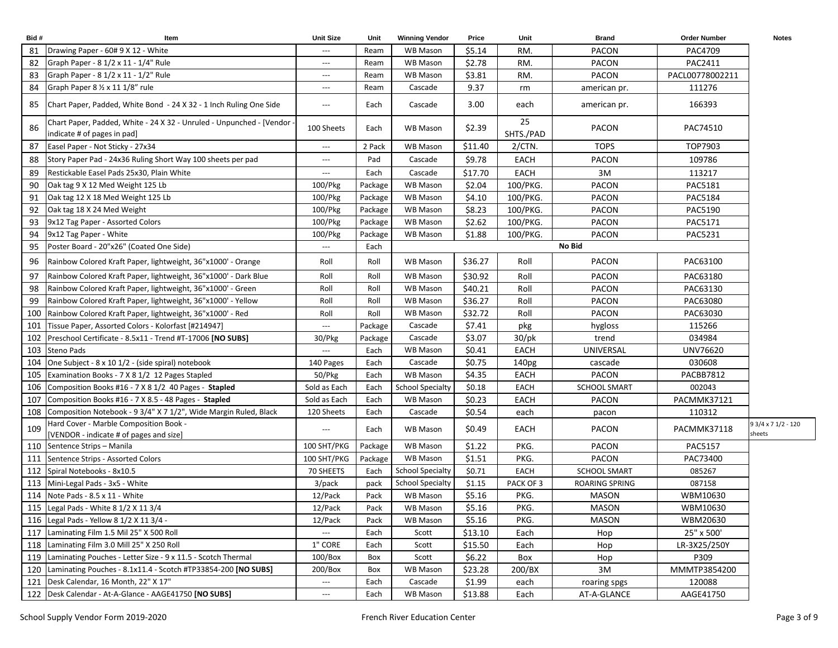| Bid# | Item                                                                                                | <b>Unit Size</b>    | Unit    | <b>Winning Vendor</b>   | Price   | Unit              | <b>Brand</b>   | <b>Order Number</b> | <b>Notes</b>                  |
|------|-----------------------------------------------------------------------------------------------------|---------------------|---------|-------------------------|---------|-------------------|----------------|---------------------|-------------------------------|
| 81   | Drawing Paper - 60# 9 X 12 - White                                                                  | ---                 | Ream    | WB Mason                | \$5.14  | RM.               | <b>PACON</b>   | PAC4709             |                               |
| 82   | Graph Paper - 8 1/2 x 11 - 1/4" Rule                                                                | $---$               | Ream    | WB Mason                | \$2.78  | RM.               | PACON          | PAC2411             |                               |
| 83   | Graph Paper - 8 1/2 x 11 - 1/2" Rule                                                                | ---                 | Ream    | WB Mason                | \$3.81  | RM.               | PACON          | PACL00778002211     |                               |
| 84   | Graph Paper 8 1/2 x 11 1/8" rule                                                                    | $---$               | Ream    | Cascade                 | 9.37    | rm                | american pr.   | 111276              |                               |
| 85   | Chart Paper, Padded, White Bond - 24 X 32 - 1 Inch Ruling One Side                                  | $---$               | Each    | Cascade                 | 3.00    | each              | american pr.   | 166393              |                               |
| 86   | Chart Paper, Padded, White - 24 X 32 - Unruled - Unpunched - [Vendor<br>indicate # of pages in pad] | 100 Sheets          | Each    | WB Mason                | \$2.39  | 25<br>SHTS./PAD   | PACON          | PAC74510            |                               |
| 87   | Easel Paper - Not Sticky - 27x34                                                                    | ---                 | 2 Pack  | WB Mason                | \$11.40 | $2/CTN$ .         | <b>TOPS</b>    | TOP7903             |                               |
| 88   | Story Paper Pad - 24x36 Ruling Short Way 100 sheets per pad                                         | $---$               | Pad     | Cascade                 | \$9.78  | EACH              | <b>PACON</b>   | 109786              |                               |
| 89   | Restickable Easel Pads 25x30, Plain White                                                           | ---                 | Each    | Cascade                 | \$17.70 | EACH              | 3M             | 113217              |                               |
| 90   | Oak tag 9 X 12 Med Weight 125 Lb                                                                    | 100/Pkg             | Package | WB Mason                | \$2.04  | 100/PKG.          | PACON          | PAC5181             |                               |
| 91   | Oak tag 12 X 18 Med Weight 125 Lb                                                                   | 100/Pkg             | Package | WB Mason                | \$4.10  | 100/PKG.          | PACON          | PAC5184             |                               |
| 92   | Oak tag 18 X 24 Med Weight                                                                          | 100/Pkg             | Package | WB Mason                | \$8.23  | 100/PKG.          | <b>PACON</b>   | PAC5190             |                               |
| 93   | 9x12 Tag Paper - Assorted Colors                                                                    | 100/Pkg             | Package | WB Mason                | \$2.62  | 100/PKG.          | <b>PACON</b>   | PAC5171             |                               |
| 94   | 9x12 Tag Paper - White                                                                              | 100/Pkg             | Package | WB Mason                | \$1.88  | 100/PKG.          | PACON          | PAC5231             |                               |
| 95   | Poster Board - 20"x26" (Coated One Side)                                                            | ---                 | Each    |                         |         |                   | No Bid         |                     |                               |
| 96   | Rainbow Colored Kraft Paper, lightweight, 36"x1000' - Orange                                        | Roll                | Roll    | WB Mason                | \$36.27 | Roll              | <b>PACON</b>   | PAC63100            |                               |
| 97   | Rainbow Colored Kraft Paper, lightweight, 36"x1000' - Dark Blue                                     | Roll                | Roll    | WB Mason                | \$30.92 | Roll              | <b>PACON</b>   | PAC63180            |                               |
| 98   | Rainbow Colored Kraft Paper, lightweight, 36"x1000' - Green                                         | Roll                | Roll    | WB Mason                | \$40.21 | Roll              | <b>PACON</b>   | PAC63130            |                               |
| 99   | Rainbow Colored Kraft Paper, lightweight, 36"x1000' - Yellow                                        | Roll                | Roll    | WB Mason                | \$36.27 | Roll              | <b>PACON</b>   | PAC63080            |                               |
| 100  | Rainbow Colored Kraft Paper, lightweight, 36"x1000' - Red                                           | Roll                | Roll    | WB Mason                | \$32.72 | Roll              | PACON          | PAC63030            |                               |
| 101  | Tissue Paper, Assorted Colors - Kolorfast [#214947]                                                 | $\qquad \qquad - -$ | Package | Cascade                 | \$7.41  | pkg               | hygloss        | 115266              |                               |
| 102  | Preschool Certificate - 8.5x11 - Trend #T-17006 [NO SUBS]                                           | 30/Pkg              | Package | Cascade                 | \$3.07  | $30$ /pk          | trend          | 034984              |                               |
| 103  | <b>Steno Pads</b>                                                                                   | ---                 | Each    | WB Mason                | \$0.41  | EACH              | UNIVERSAL      | UNV76620            |                               |
| 104  | One Subject - 8 x 10 1/2 - (side spiral) notebook                                                   | 140 Pages           | Each    | Cascade                 | \$0.75  | 140 <sub>pg</sub> | cascade        | 030608              |                               |
| 105  | Examination Books - 7 X 8 1/2 12 Pages Stapled                                                      | 50/Pkg              | Each    | WB Mason                | \$4.35  | EACH              | <b>PACON</b>   | PACBB7812           |                               |
| 106  | Composition Books #16 - 7 X 8 1/2 40 Pages - Stapled                                                | Sold as Each        | Each    | <b>School Specialty</b> | \$0.18  | <b>EACH</b>       | SCHOOL SMART   | 002043              |                               |
| 107  | Composition Books #16 - 7 X 8.5 - 48 Pages - Stapled                                                | Sold as Each        | Each    | WB Mason                | \$0.23  | EACH              | <b>PACON</b>   | PACMMK37121         |                               |
| 108  | Composition Notebook - 9 3/4" X 7 1/2", Wide Margin Ruled, Black                                    | 120 Sheets          | Each    | Cascade                 | \$0.54  | each              | pacon          | 110312              |                               |
| 109  | Hard Cover - Marble Composition Book -<br>[VENDOR - indicate # of pages and size]                   | $---$               | Each    | WB Mason                | \$0.49  | EACH              | PACON          | PACMMK37118         | 9 3/4 x 7 1/2 - 120<br>sheets |
| 110  | Sentence Strips - Manila                                                                            | 100 SHT/PKG         | Package | WB Mason                | \$1.22  | PKG.              | <b>PACON</b>   | PAC5157             |                               |
| 111  | Sentence Strips - Assorted Colors                                                                   | 100 SHT/PKG         | Package | WB Mason                | \$1.51  | PKG.              | <b>PACON</b>   | PAC73400            |                               |
| 112  | Spiral Notebooks - 8x10.5                                                                           | 70 SHEETS           | Each    | <b>School Specialty</b> | \$0.71  | <b>EACH</b>       | SCHOOL SMART   | 085267              |                               |
| 113  | Mini-Legal Pads - 3x5 - White                                                                       | 3/pack              | pack    | <b>School Specialty</b> | \$1.15  | PACK OF 3         | ROARING SPRING | 087158              |                               |
|      | 114 Note Pads - 8.5 x 11 - White                                                                    | 12/Pack             | Pack    | WB Mason                | \$5.16  | PKG.              | MASON          | WBM10630            |                               |
|      | 115 Legal Pads - White 8 1/2 X 11 3/4                                                               | 12/Pack             | Pack    | WB Mason                | \$5.16  | PKG.              | <b>MASON</b>   | WBM10630            |                               |
|      | 116 Legal Pads - Yellow 8 1/2 X 11 3/4 -                                                            | 12/Pack             | Pack    | WB Mason                | \$5.16  | PKG.              | <b>MASON</b>   | WBM20630            |                               |
|      | 117 Laminating Film 1.5 Mil 25" X 500 Roll                                                          | ---                 | Each    | Scott                   | \$13.10 | Each              | Hop            | 25" x 500'          |                               |
|      | 118 Laminating Film 3.0 Mill 25" X 250 Roll                                                         | 1" CORE             | Each    | Scott                   | \$15.50 | Each              | Hop            | LR-3X25/250Y        |                               |
|      | 119 Laminating Pouches - Letter Size - 9 x 11.5 - Scotch Thermal                                    | $100/B$ ox          | Box     | Scott                   | \$6.22  | Box               | Hop            | P309                |                               |
|      | 120 Laminating Pouches - 8.1x11.4 - Scotch #TP33854-200 [NO SUBS]                                   | 200/Box             | Box     | WB Mason                | \$23.28 | 200/BX            | 3M             | MMMTP3854200        |                               |
| 121  | Desk Calendar, 16 Month, 22" X 17"                                                                  | ---                 | Each    | Cascade                 | \$1.99  | each              | roaring spgs   | 120088              |                               |
|      | 122 Desk Calendar - At-A-Glance - AAGE41750 [NO SUBS]                                               | ---                 | Each    | WB Mason                | \$13.88 | Each              | AT-A-GLANCE    | AAGE41750           |                               |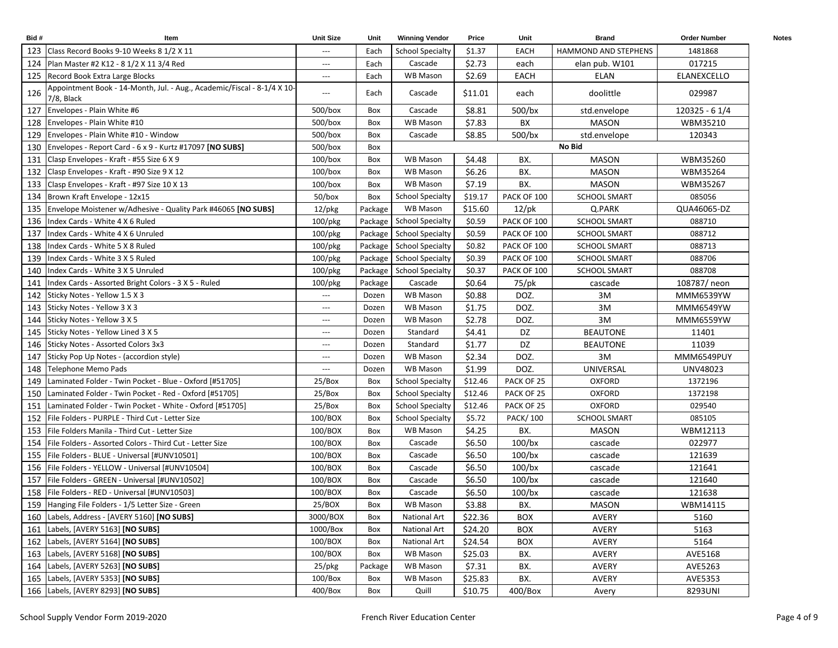| Bid#  | Item                                                                                  | <b>Unit Size</b>              | Unit    | <b>Winning Vendor</b>      | Price   | Unit            | <b>Brand</b>         | <b>Order Number</b> | <b>Notes</b> |
|-------|---------------------------------------------------------------------------------------|-------------------------------|---------|----------------------------|---------|-----------------|----------------------|---------------------|--------------|
|       | 123 Class Record Books 9-10 Weeks 8 1/2 X 11                                          | $\hspace{0.05cm} \ldots$      | Each    | <b>School Specialty</b>    | \$1.37  | <b>EACH</b>     | HAMMOND AND STEPHENS | 1481868             |              |
|       | 124 Plan Master #2 K12 - 8 1/2 X 11 3/4 Red                                           | $\hspace{1.5cm} \textbf{---}$ | Each    | Cascade                    | \$2.73  | each            | elan pub. W101       | 017215              |              |
|       | 125 Record Book Extra Large Blocks                                                    | $\hspace{1.5cm} \textbf{---}$ | Each    | <b>WB Mason</b>            | \$2.69  | EACH            | <b>ELAN</b>          | ELANEXCELLO         |              |
| 126   | Appointment Book - 14-Month, Jul. - Aug., Academic/Fiscal - 8-1/4 X 10-<br>7/8, Black | $\hspace{1.5cm} \textbf{---}$ | Each    | Cascade                    | \$11.01 | each            | doolittle            | 029987              |              |
| 127   | Envelopes - Plain White #6                                                            | $500/b$ ox                    | Box     | Cascade                    | \$8.81  | $500$ /bx       | std.envelope         | 120325 - 6 1/4      |              |
| 128   | Envelopes - Plain White #10                                                           | $500/b$ ox                    | Box     | WB Mason                   | \$7.83  | BX              | <b>MASON</b>         | WBM35210            |              |
| 129   | Envelopes - Plain White #10 - Window                                                  | $500/b$ ox                    | Box     | Cascade                    | \$8.85  | $500$ /bx       | std.envelope         | 120343              |              |
| 130   | Envelopes - Report Card - 6 x 9 - Kurtz #17097 [NO SUBS]                              | 500/box                       | Box     |                            |         |                 | No Bid               |                     |              |
| 131   | Clasp Envelopes - Kraft - #55 Size 6 X 9                                              | $100/b$ ox                    | Box     | WB Mason                   | \$4.48  | BX.             | <b>MASON</b>         | WBM35260            |              |
| 132   | Clasp Envelopes - Kraft - #90 Size 9 X 12                                             | $100/b$ ox                    | Box     | <b>WB Mason</b>            | \$6.26  | BX.             | <b>MASON</b>         | WBM35264            |              |
|       | 133 Clasp Envelopes - Kraft - #97 Size 10 X 13                                        | $100/b$ ox                    | Box     | WB Mason                   | \$7.19  | BX.             | <b>MASON</b>         | WBM35267            |              |
| 134   | Brown Kraft Envelope - 12x15                                                          | 50/box                        | Box     | <b>School Specialty</b>    | \$19.17 | PACK OF 100     | <b>SCHOOL SMART</b>  | 085056              |              |
| 135   | Envelope Moistener w/Adhesive - Quality Park #46065 [NO SUBS]                         | $12$ /pkg                     | Package | WB Mason                   | \$15.60 | $12$ /pk        | Q.PARK               | QUA46065-DZ         |              |
| 136   | Index Cards - White 4 X 6 Ruled                                                       | $100$ /pkg                    |         | Package   School Specialty | \$0.59  | PACK OF 100     | <b>SCHOOL SMART</b>  | 088710              |              |
| 137   | Index Cards - White 4 X 6 Unruled                                                     | $100$ /pkg                    |         | Package   School Specialty | \$0.59  | PACK OF 100     | <b>SCHOOL SMART</b>  | 088712              |              |
| 138   | Index Cards - White 5 X 8 Ruled                                                       | 100/pkg                       |         | Package   School Specialty | \$0.82  | PACK OF 100     | <b>SCHOOL SMART</b>  | 088713              |              |
| 139   | Index Cards - White 3 X 5 Ruled                                                       | 100/pkg                       |         | Package   School Specialty | \$0.39  | PACK OF 100     | <b>SCHOOL SMART</b>  | 088706              |              |
| 140   | Index Cards - White 3 X 5 Unruled                                                     | $100$ /pkg                    |         | Package   School Specialty | \$0.37  | PACK OF 100     | <b>SCHOOL SMART</b>  | 088708              |              |
| 141   | Index Cards - Assorted Bright Colors - 3 X 5 - Ruled                                  | $100$ /pkg                    | Package | Cascade                    | \$0.64  | 75/pk           | cascade              | 108787/ neon        |              |
| 142   | Sticky Notes - Yellow 1.5 X 3                                                         | $---$                         | Dozen   | WB Mason                   | \$0.88  | DOZ.            | 3M                   | MMM6539YW           |              |
| 143   | Sticky Notes - Yellow 3 X 3                                                           | $\hspace{0.05cm} \ldots$      | Dozen   | <b>WB Mason</b>            | \$1.75  | DOZ.            | 3M                   | MMM6549YW           |              |
| 144   | Sticky Notes - Yellow 3 X 5                                                           | $---$                         | Dozen   | <b>WB Mason</b>            | \$2.78  | DOZ.            | 3M                   | MMM6559YW           |              |
| 145   | Sticky Notes - Yellow Lined 3 X 5                                                     | $\hspace{0.05cm} \ldots$      | Dozen   | Standard                   | \$4.41  | DZ              | <b>BEAUTONE</b>      | 11401               |              |
| 146   | Sticky Notes - Assorted Colors 3x3                                                    | $---$                         | Dozen   | Standard                   | \$1.77  | DZ              | <b>BEAUTONE</b>      | 11039               |              |
| 147   | Sticky Pop Up Notes - (accordion style)                                               | $---$                         | Dozen   | <b>WB Mason</b>            | \$2.34  | DOZ.            | 3M                   | <b>MMM6549PUY</b>   |              |
| 148   | Telephone Memo Pads                                                                   | $---$                         | Dozen   | WB Mason                   | \$1.99  | DOZ.            | UNIVERSAL            | UNV48023            |              |
| 149   | Laminated Folder - Twin Pocket - Blue - Oxford [#51705]                               | 25/Box                        | Box     | <b>School Specialty</b>    | \$12.46 | PACK OF 25      | <b>OXFORD</b>        | 1372196             |              |
| 150 l | Laminated Folder - Twin Pocket - Red - Oxford [#51705]                                | 25/Box                        | Box     | <b>School Specialty</b>    | \$12.46 | PACK OF 25      | <b>OXFORD</b>        | 1372198             |              |
| 151   | Laminated Folder - Twin Pocket - White - Oxford [#51705]                              | 25/Box                        | Box     | <b>School Specialty</b>    | \$12.46 | PACK OF 25      | <b>OXFORD</b>        | 029540              |              |
|       | 152   File Folders - PURPLE - Third Cut - Letter Size                                 | 100/BOX                       | Box     | <b>School Specialty</b>    | \$5.72  | <b>PACK/100</b> | SCHOOL SMART         | 085105              |              |
|       | 153   File Folders Manila - Third Cut - Letter Size                                   | 100/BOX                       | Box     | <b>WB Mason</b>            | \$4.25  | BX.             | <b>MASON</b>         | WBM12113            |              |
| 154   | File Folders - Assorted Colors - Third Cut - Letter Size                              | 100/BOX                       | Box     | Cascade                    | \$6.50  | $100$ /bx       | cascade              | 022977              |              |
| 155   | File Folders - BLUE - Universal [#UNV10501]                                           | 100/BOX                       | Box     | Cascade                    | \$6.50  | $100$ /bx       | cascade              | 121639              |              |
|       | 156   File Folders - YELLOW - Universal [#UNV10504]                                   | 100/BOX                       | Box     | Cascade                    | \$6.50  | $100$ /bx       | cascade              | 121641              |              |
| 157   | File Folders - GREEN - Universal [#UNV10502]                                          | 100/BOX                       | Box     | Cascade                    | \$6.50  | $100$ /bx       | cascade              | 121640              |              |
|       | 158 File Folders - RED - Universal [#UNV10503]                                        | 100/BOX                       | Box     | Cascade                    | \$6.50  | $100$ /bx       | cascade              | 121638              |              |
|       | 159 Hanging File Folders - 1/5 Letter Size - Green                                    | 25/BOX                        | Box     | WB Mason                   | \$3.88  | BX.             | <b>MASON</b>         | WBM14115            |              |
|       | 160   Labels, Address - [AVERY 5160] [NO SUBS]                                        | 3000/BOX                      | Box     | National Art               | \$22.36 | BOX             | AVERY                | 5160                |              |
|       | 161 Labels, [AVERY 5163] [NO SUBS]                                                    | 1000/Box                      | Box     | <b>National Art</b>        | \$24.20 | <b>BOX</b>      | AVERY                | 5163                |              |
|       | 162   Labels, [AVERY 5164] [NO SUBS]                                                  | 100/BOX                       | Box     | <b>National Art</b>        | \$24.54 | <b>BOX</b>      | AVERY                | 5164                |              |
|       | 163   Labels, [AVERY 5168] [NO SUBS]                                                  | 100/BOX                       | Box     | WB Mason                   | \$25.03 | BX.             | AVERY                | AVE5168             |              |
|       | 164 Labels, [AVERY 5263] [NO SUBS]                                                    | 25/pkg                        | Package | <b>WB Mason</b>            | \$7.31  | BX.             | AVERY                | AVE5263             |              |
|       | 165 Labels, [AVERY 5353] [NO SUBS]                                                    | $100/B$ ox                    | Box     | WB Mason                   | \$25.83 | BX.             | AVERY                | AVE5353             |              |
|       | 166 Labels, [AVERY 8293] [NO SUBS]                                                    | 400/Box                       | Box     | Quill                      | \$10.75 | 400/Box         | Avery                | 8293UNI             |              |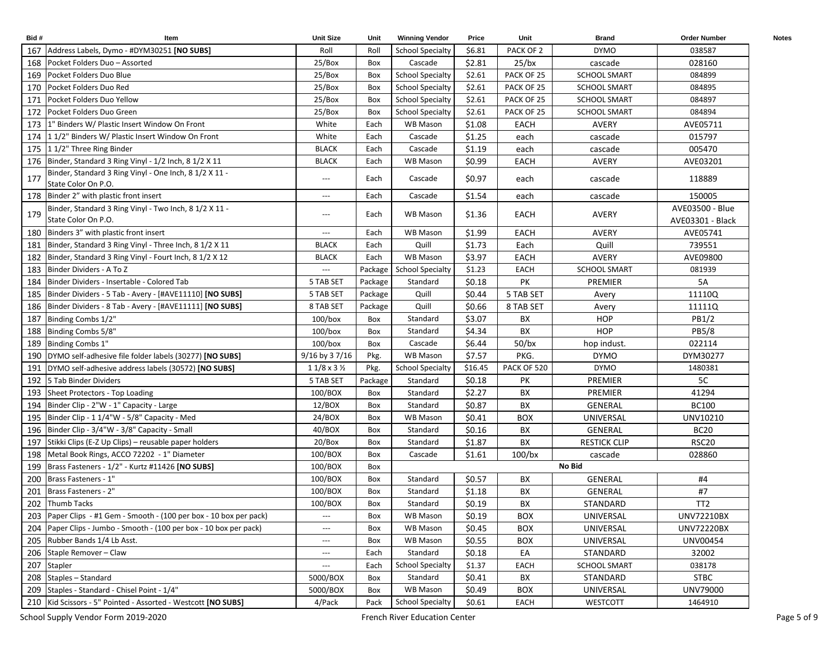| Bid# | Item                                                                          | <b>Unit Size</b>              | Unit    | <b>Winning Vendor</b>   | Price   | Unit        | <b>Brand</b>        | <b>Order Number</b>                 | <b>Notes</b> |
|------|-------------------------------------------------------------------------------|-------------------------------|---------|-------------------------|---------|-------------|---------------------|-------------------------------------|--------------|
|      | 167 Address Labels, Dymo - #DYM30251 [NO SUBS]                                | Roll                          | Roll    | <b>School Specialty</b> | \$6.81  | PACK OF 2   | <b>DYMO</b>         | 038587                              |              |
|      | 168 Pocket Folders Duo - Assorted                                             | 25/Box                        | Box     | Cascade                 | \$2.81  | $25$ /bx    | cascade             | 028160                              |              |
|      | 169 Pocket Folders Duo Blue                                                   | 25/Box                        | Box     | <b>School Specialty</b> | \$2.61  | PACK OF 25  | <b>SCHOOL SMART</b> | 084899                              |              |
|      | 170 Pocket Folders Duo Red                                                    | 25/Box                        | Box     | <b>School Specialty</b> | \$2.61  | PACK OF 25  | <b>SCHOOL SMART</b> | 084895                              |              |
| 171  | Pocket Folders Duo Yellow                                                     | 25/Box                        | Box     | <b>School Specialty</b> | \$2.61  | PACK OF 25  | <b>SCHOOL SMART</b> | 084897                              |              |
| 172  | Pocket Folders Duo Green                                                      | 25/Box                        | Box     | <b>School Specialty</b> | \$2.61  | PACK OF 25  | <b>SCHOOL SMART</b> | 084894                              |              |
|      | 173   1" Binders W/ Plastic Insert Window On Front                            | White                         | Each    | <b>WB Mason</b>         | \$1.08  | EACH        | <b>AVERY</b>        | AVE05711                            |              |
|      | 174 1 1/2" Binders W/ Plastic Insert Window On Front                          | White                         | Each    | Cascade                 | \$1.25  | each        | cascade             | 015797                              |              |
|      | 175 1 1/2" Three Ring Binder                                                  | <b>BLACK</b>                  | Each    | Cascade                 | \$1.19  | each        | cascade             | 005470                              |              |
|      | 176 Binder, Standard 3 Ring Vinyl - 1/2 Inch, 8 1/2 X 11                      | <b>BLACK</b>                  | Each    | WB Mason                | \$0.99  | EACH        | AVERY               | AVE03201                            |              |
| 177  | Binder, Standard 3 Ring Vinyl - One Inch, 8 1/2 X 11 -<br>State Color On P.O. | $\hspace{1.5cm} \textbf{---}$ | Each    | Cascade                 | \$0.97  | each        | cascade             | 118889                              |              |
|      | 178 Binder 2" with plastic front insert                                       | $---$                         | Each    | Cascade                 | \$1.54  | each        | cascade             | 150005                              |              |
| 179  | Binder, Standard 3 Ring Vinyl - Two Inch, 8 1/2 X 11 -<br>State Color On P.O. | $\hspace{0.05cm} \ldots$      | Each    | WB Mason                | \$1.36  | EACH        | AVERY               | AVE03500 - Blue<br>AVE03301 - Black |              |
|      | 180 Binders 3" with plastic front insert                                      | $\hspace{0.05cm} \ldots$      | Each    | WB Mason                | \$1.99  | <b>EACH</b> | <b>AVERY</b>        | AVE05741                            |              |
| 181  | Binder, Standard 3 Ring Vinyl - Three Inch, 8 1/2 X 11                        | <b>BLACK</b>                  | Each    | Quill                   | \$1.73  | Each        | Quill               | 739551                              |              |
| 182  | Binder, Standard 3 Ring Vinyl - Fourt Inch, 8 1/2 X 12                        | <b>BLACK</b>                  | Each    | WB Mason                | \$3.97  | EACH        | AVERY               | AVE09800                            |              |
| 183  | Binder Dividers - A To Z                                                      | $\overline{\phantom{a}}$      | Package | <b>School Specialty</b> | \$1.23  | EACH        | <b>SCHOOL SMART</b> | 081939                              |              |
| 184  | Binder Dividers - Insertable - Colored Tab                                    | 5 TAB SET                     | Package | Standard                | \$0.18  | PK          | <b>PREMIER</b>      | <b>5A</b>                           |              |
| 185  | Binder Dividers - 5 Tab - Avery - [#AVE11110] [NO SUBS]                       | 5 TAB SET                     | Package | Quill                   | \$0.44  | 5 TAB SET   | Avery               | 11110Q                              |              |
| 186  | Binder Dividers - 8 Tab - Avery - [#AVE11111] [NO SUBS]                       | 8 TAB SET                     | Package | Quill                   | \$0.66  | 8 TAB SET   | Avery               | 11111Q                              |              |
| 187  | Binding Combs 1/2"                                                            | $100/b$ ox                    | Box     | Standard                | \$3.07  | BX          | <b>HOP</b>          | PB1/2                               |              |
| 188  | Binding Combs 5/8"                                                            | $100/b$ ox                    | Box     | Standard                | \$4.34  | BX          | <b>HOP</b>          | PB5/8                               |              |
| 189  | Binding Combs 1"                                                              | $100/b$ ox                    | Box     | Cascade                 | \$6.44  | $50$ /bx    | hop indust.         | 022114                              |              |
|      | 190 DYMO self-adhesive file folder labels (30277) [NO SUBS]                   | 9/16 by 37/16                 | Pkg.    | <b>WB Mason</b>         | \$7.57  | PKG.        | <b>DYMO</b>         | DYM30277                            |              |
|      | 191   DYMO self-adhesive address labels (30572) [NO SUBS]                     | $11/8 \times 3\frac{1}{2}$    | Pkg.    | <b>School Specialty</b> | \$16.45 | PACK OF 520 | <b>DYMO</b>         | 1480381                             |              |
|      | 192 5 Tab Binder Dividers                                                     | 5 TAB SET                     | Package | Standard                | \$0.18  | PK          | PREMIER             | 5C                                  |              |
|      | 193 Sheet Protectors - Top Loading                                            | 100/BOX                       | Box     | Standard                | \$2.27  | BX          | PREMIER             | 41294                               |              |
|      | 194 Binder Clip - 2"W - 1" Capacity - Large                                   | 12/BOX                        | Box     | Standard                | \$0.87  | BX          | <b>GENERAL</b>      | <b>BC100</b>                        |              |
|      | 195 Binder Clip - 1 1/4"W - 5/8" Capacity - Med                               | 24/BOX                        | Box     | <b>WB Mason</b>         | \$0.41  | <b>BOX</b>  | UNIVERSAL           | UNV10210                            |              |
|      | 196 Binder Clip - 3/4"W - 3/8" Capacity - Small                               | 40/BOX                        | Box     | Standard                | \$0.16  | BX          | GENERAL             | <b>BC20</b>                         |              |
| 197  | Stikki Clips (E-Z Up Clips) - reusable paper holders                          | 20/Box                        | Box     | Standard                | \$1.87  | BX          | <b>RESTICK CLIP</b> | RSC <sub>20</sub>                   |              |
| 198  | Metal Book Rings, ACCO 72202 - 1" Diameter                                    | 100/BOX                       | Box     | Cascade                 | \$1.61  | $100$ /bx   | cascade             | 028860                              |              |
| 199  | Brass Fasteners - 1/2" - Kurtz #11426 [NO SUBS]                               | 100/BOX                       | Box     |                         |         |             | No Bid              |                                     |              |
| 200  | Brass Fasteners - 1"                                                          | 100/BOX                       | Box     | Standard                | \$0.57  | BX          | <b>GENERAL</b>      | #4                                  |              |
| 201  | Brass Fasteners - 2"                                                          | 100/BOX                       | Box     | Standard                | \$1.18  | BX          | GENERAL             | #7                                  |              |
|      | 202 Thumb Tacks                                                               | 100/BOX                       | Box     | Standard                | \$0.19  | BX          | STANDARD            | TT <sub>2</sub>                     |              |
|      | 203 Paper Clips - #1 Gem - Smooth - (100 per box - 10 box per pack)           | $\hspace{0.05cm} \cdots$      | Box     | WB Mason                | \$0.19  | <b>BOX</b>  | UNIVERSAL           | <b>UNV72210BX</b>                   |              |
| 204  | Paper Clips - Jumbo - Smooth - (100 per box - 10 box per pack)                | $\overline{\phantom{a}}$      | Box     | <b>WB Mason</b>         | \$0.45  | <b>BOX</b>  | UNIVERSAL           | <b>UNV72220BX</b>                   |              |
| 205  | Rubber Bands 1/4 Lb Asst.                                                     | $\hspace{0.05cm} \ldots$      | Box     | <b>WB Mason</b>         | \$0.55  | <b>BOX</b>  | UNIVERSAL           | UNV00454                            |              |
| 206  | Staple Remover - Claw                                                         | $---$                         | Each    | Standard                | \$0.18  | EA          | STANDARD            | 32002                               |              |
|      | 207 Stapler                                                                   | $---$                         | Each    | <b>School Specialty</b> | \$1.37  | <b>EACH</b> | SCHOOL SMART        | 038178                              |              |
|      | 208 Staples - Standard                                                        | 5000/BOX                      | Box     | Standard                | \$0.41  | BX          | STANDARD            | <b>STBC</b>                         |              |
|      | 209 Staples - Standard - Chisel Point - 1/4"                                  | 5000/BOX                      | Box     | WB Mason                | \$0.49  | <b>BOX</b>  | UNIVERSAL           | UNV79000                            |              |
|      | 210   Kid Scissors - 5" Pointed - Assorted - Westcott [NO SUBS]               | 4/Pack                        | Pack    | <b>School Specialty</b> | \$0.61  | EACH        | WESTCOTT            | 1464910                             |              |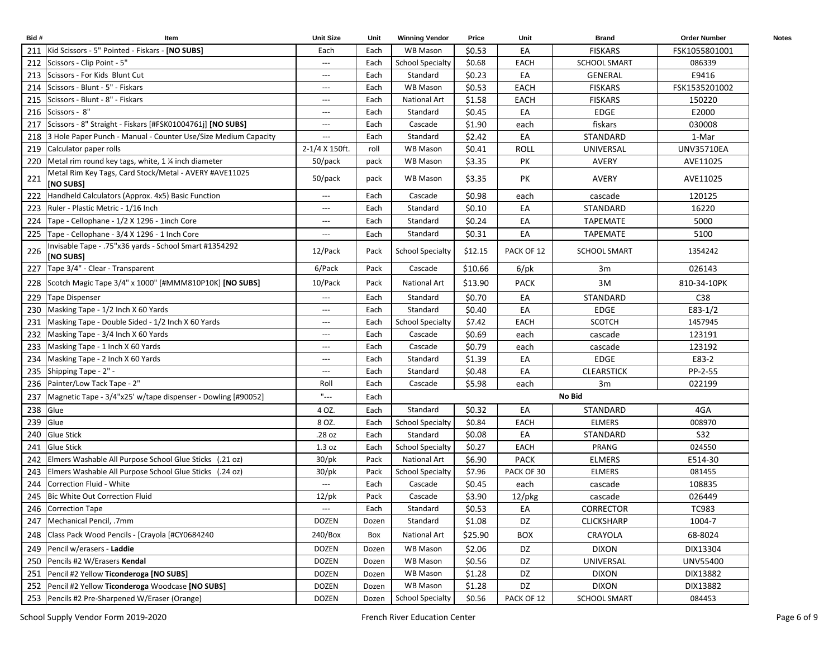| Bid# | Item                                                                | <b>Unit Size</b>                         | Unit  | <b>Winning Vendor</b>   | Price   | Unit        | <b>Brand</b>        | <b>Order Number</b> | <b>Notes</b> |
|------|---------------------------------------------------------------------|------------------------------------------|-------|-------------------------|---------|-------------|---------------------|---------------------|--------------|
|      | 211   Kid Scissors - 5" Pointed - Fiskars - [NO SUBS]               | Each                                     | Each  | <b>WB Mason</b>         | \$0.53  | EA          | <b>FISKARS</b>      | FSK1055801001       |              |
|      | 212 Scissors - Clip Point - 5"                                      | $\hspace{0.05cm} \ldots$                 | Each  | <b>School Specialty</b> | \$0.68  | <b>EACH</b> | <b>SCHOOL SMART</b> | 086339              |              |
|      | 213 Scissors - For Kids Blunt Cut                                   | $---$                                    | Each  | Standard                | \$0.23  | EA          | <b>GENERAL</b>      | E9416               |              |
|      | 214 Scissors - Blunt - 5" - Fiskars                                 | $---$                                    | Each  | <b>WB Mason</b>         | \$0.53  | <b>EACH</b> | <b>FISKARS</b>      | FSK1535201002       |              |
| 215  | Scissors - Blunt - 8" - Fiskars                                     | $---$                                    | Each  | <b>National Art</b>     | \$1.58  | EACH        | <b>FISKARS</b>      | 150220              |              |
| 216  | Scissors - 8"                                                       | $\hspace{1.5cm} \textbf{---}$            | Each  | Standard                | \$0.45  | EA          | EDGE                | E2000               |              |
| 217  | Scissors - 8" Straight - Fiskars [#FSK01004761j] [NO SUBS]          | $---$                                    | Each  | Cascade                 | \$1.90  | each        | fiskars             | 030008              |              |
|      | 218 3 Hole Paper Punch - Manual - Counter Use/Size Medium Capacity  | $\overline{a}$                           | Each  | Standard                | \$2.42  | EA          | STANDARD            | 1-Mar               |              |
|      | 219 Calculator paper rolls                                          | 2-1/4 X 150ft.                           | roll  | <b>WB Mason</b>         | \$0.41  | <b>ROLL</b> | UNIVERSAL           | UNV35710EA          |              |
| 220  | Metal rim round key tags, white, 1 % inch diameter                  | 50/pack                                  | pack  | <b>WB Mason</b>         | \$3.35  | PK          | AVERY               | AVE11025            |              |
| 221  | Metal Rim Key Tags, Card Stock/Metal - AVERY #AVE11025<br>[NO SUBS] | 50/pack                                  | pack  | <b>WB Mason</b>         | \$3.35  | PK          | AVERY               | AVE11025            |              |
|      | 222 Handheld Calculators (Approx. 4x5) Basic Function               | $---$                                    | Each  | Cascade                 | \$0.98  | each        | cascade             | 120125              |              |
|      | 223   Ruler - Plastic Metric - 1/16 Inch                            | $---$                                    | Each  | Standard                | \$0.10  | EA          | STANDARD            | 16220               |              |
| 224  | Tape - Cellophane - 1/2 X 1296 - 1inch Core                         | $\hspace{0.05cm} \ldots$                 | Each  | Standard                | \$0.24  | EA          | <b>TAPEMATE</b>     | 5000                |              |
| 225  | Tape - Cellophane - 3/4 X 1296 - 1 Inch Core                        | ---                                      | Each  | Standard                | \$0.31  | EA          | <b>TAPEMATE</b>     | 5100                |              |
| 226  | Invisable Tape - .75"x36 yards - School Smart #1354292<br>[NO SUBS] | 12/Pack                                  | Pack  | <b>School Specialty</b> | \$12.15 | PACK OF 12  | <b>SCHOOL SMART</b> | 1354242             |              |
| 227  | Tape 3/4" - Clear - Transparent                                     | 6/Pack                                   | Pack  | Cascade                 | \$10.66 | $6$ /pk     | 3m                  | 026143              |              |
|      | 228 Scotch Magic Tape 3/4" x 1000" [#MMM810P10K] [NO SUBS]          | 10/Pack                                  | Pack  | National Art            | \$13.90 | <b>PACK</b> | 3M                  | 810-34-10PK         |              |
|      | 229 Tape Dispenser                                                  | $\hspace{1.5cm} \textbf{---}$            | Each  | Standard                | \$0.70  | EA          | STANDARD            | C38                 |              |
|      | 230 Masking Tape - 1/2 Inch X 60 Yards                              | ---                                      | Each  | Standard                | \$0.40  | EA          | <b>EDGE</b>         | $E83-1/2$           |              |
| 231  | Masking Tape - Double Sided - 1/2 Inch X 60 Yards                   | $---$                                    | Each  | <b>School Specialty</b> | \$7.42  | EACH        | <b>SCOTCH</b>       | 1457945             |              |
| 232  | Masking Tape - 3/4 Inch X 60 Yards                                  | $---$                                    | Each  | Cascade                 | \$0.69  | each        | cascade             | 123191              |              |
| 233  | Masking Tape - 1 Inch X 60 Yards                                    | $---$                                    | Each  | Cascade                 | \$0.79  | each        | cascade             | 123192              |              |
| 234  | Masking Tape - 2 Inch X 60 Yards                                    | $---$                                    | Each  | Standard                | \$1.39  | EA          | <b>EDGE</b>         | E83-2               |              |
| 235  | Shipping Tape - 2" -                                                | $---$                                    | Each  | Standard                | \$0.48  | EA          | <b>CLEARSTICK</b>   | PP-2-55             |              |
| 236  | Painter/Low Tack Tape - 2"                                          | Roll                                     | Each  | Cascade                 | \$5.98  | each        | 3m                  | 022199              |              |
| 237  | Magnetic Tape - 3/4"x25' w/tape dispenser - Dowling [#90052]        | $\mathbf{u}_{\perp\perp\perp}$           | Each  |                         |         |             | No Bid              |                     |              |
| 238  | Glue                                                                | 4 OZ.                                    | Each  | Standard                | \$0.32  | EA          | STANDARD            | 4GA                 |              |
| 239  | Glue                                                                | 8 OZ.                                    | Each  | <b>School Specialty</b> | \$0.84  | <b>EACH</b> | <b>ELMERS</b>       | 008970              |              |
| 240  | <b>Glue Stick</b>                                                   | .28 oz                                   | Each  | Standard                | \$0.08  | EA          | STANDARD            | <b>S32</b>          |              |
| 241  | Glue Stick                                                          | 1.3 oz                                   | Each  | <b>School Specialty</b> | \$0.27  | <b>EACH</b> | PRANG               | 024550              |              |
| 242  | Elmers Washable All Purpose School Glue Sticks (.21 oz)             | $30$ /pk                                 | Pack  | <b>National Art</b>     | \$6.90  | <b>PACK</b> | <b>ELMERS</b>       | E514-30             |              |
| 243  | Elmers Washable All Purpose School Glue Sticks (.24 oz)             | $30$ /pk                                 | Pack  | <b>School Specialty</b> | \$7.96  | PACK OF 30  | <b>ELMERS</b>       | 081455              |              |
| 244  | Correction Fluid - White                                            | $---$                                    | Each  | Cascade                 | \$0.45  | each        | cascade             | 108835              |              |
|      | 245 Bic White Out Correction Fluid                                  | $12$ /pk                                 | Pack  | Cascade                 | \$3.90  | $12$ /pkg   | cascade             | 026449              |              |
|      | 246 Correction Tape                                                 | $\hspace{0.05cm} \ldots \hspace{0.05cm}$ | Each  | Standard                | \$0.53  | EA          | CORRECTOR           | <b>TC983</b>        |              |
|      | 247   Mechanical Pencil, .7mm                                       | <b>DOZEN</b>                             | Dozen | Standard                | \$1.08  | DZ          | <b>CLICKSHARP</b>   | 1004-7              |              |
|      | 248 Class Pack Wood Pencils - [Crayola [#CY0684240]                 | 240/Box                                  | Box   | <b>National Art</b>     | \$25.90 | <b>BOX</b>  | CRAYOLA             | 68-8024             |              |
| 249  | Pencil w/erasers - Laddie                                           | <b>DOZEN</b>                             | Dozen | WB Mason                | \$2.06  | DZ          | <b>DIXON</b>        | DIX13304            |              |
| 250  | Pencils #2 W/Erasers Kendal                                         | <b>DOZEN</b>                             | Dozen | WB Mason                | \$0.56  | DZ          | UNIVERSAL           | UNV55400            |              |
|      | 251 Pencil #2 Yellow Ticonderoga [NO SUBS]                          | <b>DOZEN</b>                             | Dozen | WB Mason                | \$1.28  | DZ          | <b>DIXON</b>        | DIX13882            |              |
| 252  | Pencil #2 Yellow Ticonderoga Woodcase [NO SUBS]                     | <b>DOZEN</b>                             | Dozen | WB Mason                | \$1.28  | DZ          | <b>DIXON</b>        | DIX13882            |              |
|      | 253 Pencils #2 Pre-Sharpened W/Eraser (Orange)                      | DOZEN                                    | Dozen | <b>School Specialty</b> | \$0.56  | PACK OF 12  | <b>SCHOOL SMART</b> | 084453              |              |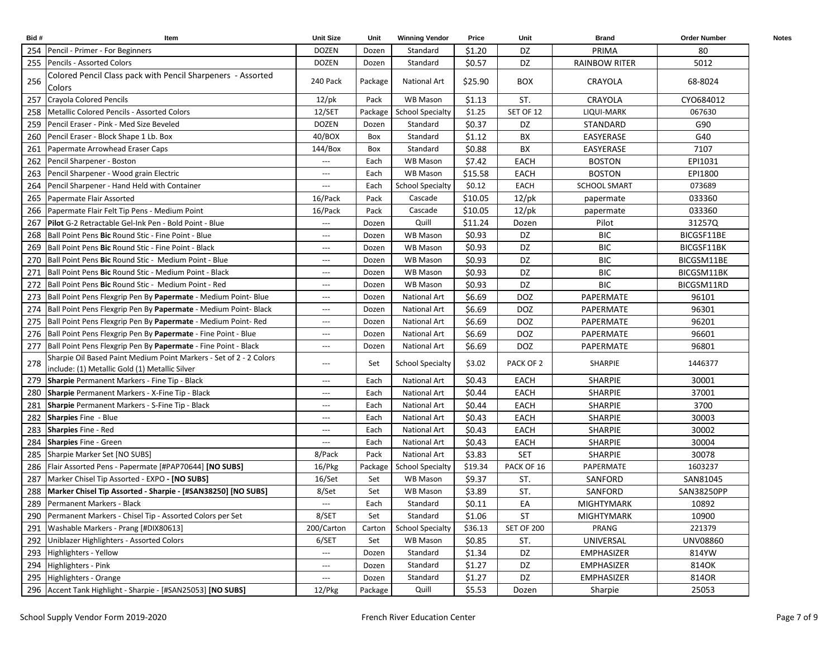| Bid# | Item                                                                                                                 | <b>Unit Size</b>         | Unit    | <b>Winning Vendor</b>    | Price   | Unit        | <b>Brand</b>         | <b>Order Number</b> | <b>Notes</b> |
|------|----------------------------------------------------------------------------------------------------------------------|--------------------------|---------|--------------------------|---------|-------------|----------------------|---------------------|--------------|
| 254  | Pencil - Primer - For Beginners                                                                                      | <b>DOZEN</b>             | Dozen   | Standard                 | \$1.20  | DZ          | PRIMA                | 80                  |              |
|      | 255 Pencils - Assorted Colors                                                                                        | <b>DOZEN</b>             | Dozen   | Standard                 | \$0.57  | DZ          | <b>RAINBOW RITER</b> | 5012                |              |
| 256  | Colored Pencil Class pack with Pencil Sharpeners - Assorted<br>Colors                                                | 240 Pack                 | Package | National Art             | \$25.90 | <b>BOX</b>  | CRAYOLA              | 68-8024             |              |
| 257  | Crayola Colored Pencils                                                                                              | $12$ /pk                 | Pack    | WB Mason                 | \$1.13  | ST.         | CRAYOLA              | CYO684012           |              |
| 258  | Metallic Colored Pencils - Assorted Colors                                                                           | 12/SET                   |         | Package School Specialty | \$1.25  | SET OF 12   | LIQUI-MARK           | 067630              |              |
| 259  | Pencil Eraser - Pink - Med Size Beveled                                                                              | <b>DOZEN</b>             | Dozen   | Standard                 | \$0.37  | DZ          | STANDARD             | G90                 |              |
| 260  | Pencil Eraser - Block Shape 1 Lb. Box                                                                                | 40/BOX                   | Box     | Standard                 | \$1.12  | BX          | EASYERASE            | G40                 |              |
| 261  | Papermate Arrowhead Eraser Caps                                                                                      | 144/Box                  | Box     | Standard                 | \$0.88  | BX          | EASYERASE            | 7107                |              |
| 262  | Pencil Sharpener - Boston                                                                                            | $---$                    | Each    | <b>WB Mason</b>          | \$7.42  | <b>EACH</b> | <b>BOSTON</b>        | EPI1031             |              |
| 263  | Pencil Sharpener - Wood grain Electric                                                                               | ---                      | Each    | <b>WB Mason</b>          | \$15.58 | EACH        | <b>BOSTON</b>        | EPI1800             |              |
| 264  | Pencil Sharpener - Hand Held with Container                                                                          | ---                      | Each    | <b>School Specialty</b>  | \$0.12  | <b>EACH</b> | <b>SCHOOL SMART</b>  | 073689              |              |
| 265  | Papermate Flair Assorted                                                                                             | 16/Pack                  | Pack    | Cascade                  | \$10.05 | $12$ /pk    | papermate            | 033360              |              |
| 266  | Papermate Flair Felt Tip Pens - Medium Point                                                                         | 16/Pack                  | Pack    | Cascade                  | \$10.05 | $12$ /pk    | papermate            | 033360              |              |
| 267  | <b>Pilot</b> G-2 Retractable Gel-Ink Pen - Bold Point - Blue                                                         | $\hspace{0.05cm} \ldots$ | Dozen   | Quill                    | \$11.24 | Dozen       | Pilot                | 31257Q              |              |
|      | 268   Ball Point Pens Bic Round Stic - Fine Point - Blue                                                             | ---                      | Dozen   | <b>WB Mason</b>          | \$0.93  | DZ          | <b>BIC</b>           | BICGSF11BE          |              |
| 269  | Ball Point Pens Bic Round Stic - Fine Point - Black                                                                  | ---                      | Dozen   | <b>WB Mason</b>          | \$0.93  | DZ          | <b>BIC</b>           | BICGSF11BK          |              |
| 270  | Ball Point Pens Bic Round Stic - Medium Point - Blue                                                                 | $---$                    | Dozen   | <b>WB Mason</b>          | \$0.93  | DZ          | <b>BIC</b>           | BICGSM11BE          |              |
| 271  | Ball Point Pens Bic Round Stic - Medium Point - Black                                                                | ---                      | Dozen   | <b>WB Mason</b>          | \$0.93  | DZ          | <b>BIC</b>           | BICGSM11BK          |              |
| 272  | Ball Point Pens Bic Round Stic - Medium Point - Red                                                                  | ---                      | Dozen   | <b>WB Mason</b>          | \$0.93  | DZ          | <b>BIC</b>           | BICGSM11RD          |              |
| 273  | Ball Point Pens Flexgrip Pen By Papermate - Medium Point- Blue                                                       | $---$                    | Dozen   | National Art             | \$6.69  | <b>DOZ</b>  | PAPERMATE            | 96101               |              |
| 274  | Ball Point Pens Flexgrip Pen By Papermate - Medium Point-Black                                                       | $\hspace{0.05cm} \ldots$ | Dozen   | National Art             | \$6.69  | <b>DOZ</b>  | PAPERMATE            | 96301               |              |
| 275  | Ball Point Pens Flexgrip Pen By Papermate - Medium Point- Red                                                        | $\hspace{0.05cm} \ldots$ | Dozen   | National Art             | \$6.69  | <b>DOZ</b>  | PAPERMATE            | 96201               |              |
| 276  | Ball Point Pens Flexgrip Pen By Papermate - Fine Point - Blue                                                        | $\hspace{0.05cm} \ldots$ | Dozen   | <b>National Art</b>      | \$6.69  | DOZ         | PAPERMATE            | 96601               |              |
| 277  | Ball Point Pens Flexgrip Pen By Papermate - Fine Point - Black                                                       | $\hspace{0.05cm} \ldots$ | Dozen   | <b>National Art</b>      | \$6.69  | <b>DOZ</b>  | PAPERMATE            | 96801               |              |
| 278  | Sharpie Oil Based Paint Medium Point Markers - Set of 2 - 2 Colors<br>include: (1) Metallic Gold (1) Metallic Silver | $---$                    | Set     | <b>School Specialty</b>  | \$3.02  | PACK OF 2   | <b>SHARPIE</b>       | 1446377             |              |
|      | 279 Sharpie Permanent Markers - Fine Tip - Black                                                                     | $\hspace{0.05cm} \ldots$ | Each    | National Art             | \$0.43  | EACH        | <b>SHARPIE</b>       | 30001               |              |
|      | 280 Sharpie Permanent Markers - X-Fine Tip - Black                                                                   | ---                      | Each    | <b>National Art</b>      | \$0.44  | EACH        | <b>SHARPIE</b>       | 37001               |              |
| 281  | Sharpie Permanent Markers - S-Fine Tip - Black                                                                       | ---                      | Each    | National Art             | \$0.44  | EACH        | <b>SHARPIE</b>       | 3700                |              |
| 282  | Sharpies Fine - Blue                                                                                                 | $---$                    | Each    | National Art             | \$0.43  | EACH        | <b>SHARPIE</b>       | 30003               |              |
| 283  | <b>Sharpies</b> Fine - Red                                                                                           | $\hspace{0.05cm} \ldots$ | Each    | National Art             | \$0.43  | <b>EACH</b> | <b>SHARPIE</b>       | 30002               |              |
| 284  | <b>Sharpies</b> Fine - Green                                                                                         | $\hspace{0.05cm} \ldots$ | Each    | National Art             | \$0.43  | EACH        | SHARPIE              | 30004               |              |
| 285  | Sharpie Marker Set [NO SUBS]                                                                                         | 8/Pack                   | Pack    | <b>National Art</b>      | \$3.83  | <b>SET</b>  | <b>SHARPIE</b>       | 30078               |              |
| 286  | Flair Assorted Pens - Papermate [#PAP70644] [NO SUBS]                                                                | $16$ /Pkg                | Package | <b>School Specialty</b>  | \$19.34 | PACK OF 16  | PAPERMATE            | 1603237             |              |
| 287  | Marker Chisel Tip Assorted - EXPO - [NO SUBS]                                                                        | 16/Set                   | Set     | <b>WB Mason</b>          | \$9.37  | ST.         | SANFORD              | SAN81045            |              |
| 288  | Marker Chisel Tip Assorted - Sharpie - [#SAN38250] [NO SUBS]                                                         | 8/Set                    | Set     | <b>WB Mason</b>          | \$3.89  | ST.         | SANFORD              | SAN38250PP          |              |
|      | 289 Permanent Markers - Black                                                                                        | $---$                    | Each    | Standard                 | \$0.11  | EA          | <b>MIGHTYMARK</b>    | 10892               |              |
| 290  | Permanent Markers - Chisel Tip - Assorted Colors per Set                                                             | 8/SET                    | Set     | Standard                 | \$1.06  | ST          | MIGHTYMARK           | 10900               |              |
|      | 291 Washable Markers - Prang [#DIX80613]                                                                             | 200/Carton               | Carton  | <b>School Specialty</b>  | \$36.13 | SET OF 200  | PRANG                | 221379              |              |
|      | 292 Uniblazer Highlighters - Assorted Colors                                                                         | 6/SET                    | Set     | WB Mason                 | \$0.85  | ST.         | UNIVERSAL            | UNV08860            |              |
|      | 293 Highlighters - Yellow                                                                                            | $\hspace{0.05cm} \ldots$ | Dozen   | Standard                 | \$1.34  | DZ          | EMPHASIZER           | 814YW               |              |
|      | 294 Highlighters - Pink                                                                                              | ---                      | Dozen   | Standard                 | \$1.27  | DZ          | <b>EMPHASIZER</b>    | 814OK               |              |
|      | 295 Highlighters - Orange                                                                                            | ---                      | Dozen   | Standard                 | \$1.27  | DZ          | <b>EMPHASIZER</b>    | 814OR               |              |
|      | 296 Accent Tank Highlight - Sharpie - [#SAN25053] [NO SUBS]                                                          | 12/Pkg                   | Package | Quill                    | \$5.53  | Dozen       | Sharpie              | 25053               |              |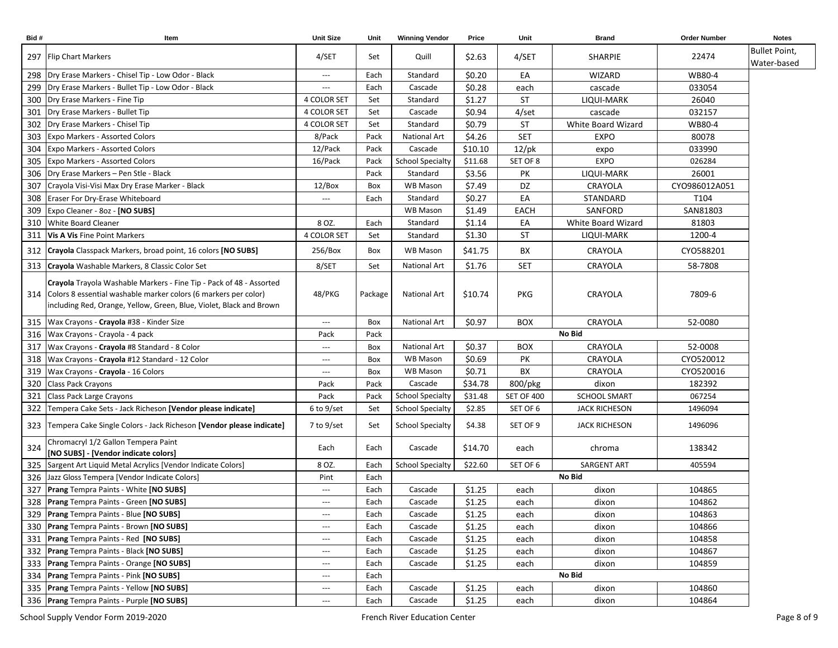| Bid# | Item                                                                                                                                                                                                              | <b>Unit Size</b>         | Unit    | <b>Winning Vendor</b>   | Price   | Unit              | <b>Brand</b>         | <b>Order Number</b> | <b>Notes</b>         |
|------|-------------------------------------------------------------------------------------------------------------------------------------------------------------------------------------------------------------------|--------------------------|---------|-------------------------|---------|-------------------|----------------------|---------------------|----------------------|
|      | 297   Flip Chart Markers                                                                                                                                                                                          | 4/SET                    | Set     | Quill                   | \$2.63  | 4/SET             | <b>SHARPIE</b>       | 22474               | <b>Bullet Point,</b> |
|      |                                                                                                                                                                                                                   |                          |         |                         |         |                   |                      |                     | Water-based          |
|      | 298   Dry Erase Markers - Chisel Tip - Low Odor - Black                                                                                                                                                           | $---$                    | Each    | Standard                | \$0.20  | EA                | WIZARD               | WB80-4              |                      |
|      | 299   Dry Erase Markers - Bullet Tip - Low Odor - Black                                                                                                                                                           | $---$                    | Each    | Cascade                 | \$0.28  | each              | cascade              | 033054              |                      |
|      | 300 Dry Erase Markers - Fine Tip                                                                                                                                                                                  | 4 COLOR SET              | Set     | Standard                | \$1.27  | <b>ST</b>         | LIQUI-MARK           | 26040               |                      |
|      | 301   Dry Erase Markers - Bullet Tip                                                                                                                                                                              | <b>4 COLOR SET</b>       | Set     | Cascade                 | \$0.94  | $4$ /set          | cascade              | 032157              |                      |
|      | 302 Dry Erase Markers - Chisel Tip                                                                                                                                                                                | <b>4 COLOR SET</b>       | Set     | Standard                | \$0.79  | <b>ST</b>         | White Board Wizard   | WB80-4              |                      |
| 303  | <b>Expo Markers - Assorted Colors</b>                                                                                                                                                                             | 8/Pack                   | Pack    | National Art            | \$4.26  | <b>SET</b>        | <b>EXPO</b>          | 80078               |                      |
| 304  | <b>Expo Markers - Assorted Colors</b>                                                                                                                                                                             | 12/Pack                  | Pack    | Cascade                 | \$10.10 | $12$ /pk          | expo                 | 033990              |                      |
| 305  | <b>Expo Markers - Assorted Colors</b>                                                                                                                                                                             | 16/Pack                  | Pack    | <b>School Specialty</b> | \$11.68 | SET OF 8          | <b>EXPO</b>          | 026284              |                      |
| 306  | Dry Erase Markers - Pen Stle - Black                                                                                                                                                                              |                          | Pack    | Standard                | \$3.56  | PK                | LIQUI-MARK           | 26001               |                      |
| 307  | Crayola Visi-Visi Max Dry Erase Marker - Black                                                                                                                                                                    | 12/Box                   | Box     | <b>WB Mason</b>         | \$7.49  | DZ                | CRAYOLA              | CYO986012A051       |                      |
| 308  | Eraser For Dry-Erase Whiteboard                                                                                                                                                                                   | $---$                    | Each    | Standard                | \$0.27  | EA                | STANDARD             | T104                |                      |
| 309  | Expo Cleaner - 8oz - [NO SUBS]                                                                                                                                                                                    |                          |         | <b>WB Mason</b>         | \$1.49  | EACH              | SANFORD              | SAN81803            |                      |
| 310  | White Board Cleaner                                                                                                                                                                                               | 8 OZ.                    | Each    | Standard                | \$1.14  | EA                | White Board Wizard   | 81803               |                      |
|      | 311   Vis A Vis Fine Point Markers                                                                                                                                                                                | 4 COLOR SET              | Set     | Standard                | \$1.30  | <b>ST</b>         | LIQUI-MARK           | 1200-4              |                      |
|      | 312 Crayola Classpack Markers, broad point, 16 colors [NO SUBS]                                                                                                                                                   | 256/Box                  | Box     | <b>WB Mason</b>         | \$41.75 | BX                | CRAYOLA              | CYO588201           |                      |
|      | 313   Crayola Washable Markers, 8 Classic Color Set                                                                                                                                                               | 8/SET                    | Set     | <b>National Art</b>     | \$1.76  | <b>SET</b>        | CRAYOLA              | 58-7808             |                      |
|      | Crayola Trayola Washable Markers - Fine Tip - Pack of 48 - Assorted<br>314 Colors 8 essential washable marker colors (6 markers per color)<br>including Red, Orange, Yellow, Green, Blue, Violet, Black and Brown | 48/PKG                   | Package | <b>National Art</b>     | \$10.74 | PKG               | CRAYOLA              | 7809-6              |                      |
|      | 315   Wax Crayons - Crayola #38 - Kinder Size                                                                                                                                                                     | $\hspace{0.05cm} \ldots$ | Box     | <b>National Art</b>     | \$0.97  | <b>BOX</b>        | CRAYOLA              | 52-0080             |                      |
|      | 316   Wax Crayons - Crayola - 4 pack                                                                                                                                                                              | Pack                     | Pack    |                         |         |                   | No Bid               |                     |                      |
|      | 317   Wax Crayons - Crayola #8 Standard - 8 Color                                                                                                                                                                 | $\hspace{0.05cm} \ldots$ | Box     | <b>National Art</b>     | \$0.37  | <b>BOX</b>        | CRAYOLA              | 52-0008             |                      |
|      | 318 Wax Crayons - Crayola #12 Standard - 12 Color                                                                                                                                                                 | $\hspace{0.05cm} \ldots$ | Box     | WB Mason                | \$0.69  | PK                | CRAYOLA              | CYO520012           |                      |
| 319  | Wax Crayons - Crayola - 16 Colors                                                                                                                                                                                 | $\hspace{0.05cm} \ldots$ | Box     | <b>WB Mason</b>         | \$0.71  | BX                | CRAYOLA              | CYO520016           |                      |
| 320  | Class Pack Crayons                                                                                                                                                                                                | Pack                     | Pack    | Cascade                 | \$34.78 | 800/pkg           | dixon                | 182392              |                      |
| 321  | Class Pack Large Crayons                                                                                                                                                                                          | Pack                     | Pack    | <b>School Specialty</b> | \$31.48 | <b>SET OF 400</b> | <b>SCHOOL SMART</b>  | 067254              |                      |
| 322  | Tempera Cake Sets - Jack Richeson [Vendor please indicate]                                                                                                                                                        | 6 to 9/set               | Set     | <b>School Specialty</b> | \$2.85  | SET OF 6          | <b>JACK RICHESON</b> | 1496094             |                      |
|      | 323 Tempera Cake Single Colors - Jack Richeson [Vendor please indicate]                                                                                                                                           | 7 to 9/set               | Set     | <b>School Specialty</b> | \$4.38  | SET OF 9          | <b>JACK RICHESON</b> | 1496096             |                      |
| 324  | Chromacryl 1/2 Gallon Tempera Paint<br>[NO SUBS] - [Vendor indicate colors]                                                                                                                                       | Each                     | Each    | Cascade                 | \$14.70 | each              | chroma               | 138342              |                      |
| 325  | Sargent Art Liquid Metal Acrylics [Vendor Indicate Colors]                                                                                                                                                        | 8 OZ.                    | Each    | <b>School Specialty</b> | \$22.60 | SET OF 6          | SARGENT ART          | 405594              |                      |
|      | 326 Jazz Gloss Tempera [Vendor Indicate Colors]                                                                                                                                                                   | Pint                     | Each    |                         |         |                   | No Bid               |                     |                      |
|      | 327 Prang Tempra Paints - White [NO SUBS]                                                                                                                                                                         | $\overline{a}$           | Each    | Cascade                 | \$1.25  | each              | dixon                | 104865              |                      |
|      | 328 Prang Tempra Paints - Green [NO SUBS]                                                                                                                                                                         | $---$                    | Each    | Cascade                 | \$1.25  | each              | dixon                | 104862              |                      |
|      | 329 Prang Tempra Paints - Blue [NO SUBS]                                                                                                                                                                          | $\hspace{0.05cm} \ldots$ | Each    | Cascade                 | \$1.25  | each              | dixon                | 104863              |                      |
|      | 330 Prang Tempra Paints - Brown [NO SUBS]                                                                                                                                                                         | $\hspace{0.05cm} \ldots$ | Each    | Cascade                 | \$1.25  | each              | dixon                | 104866              |                      |
|      | 331 Prang Tempra Paints - Red [NO SUBS]                                                                                                                                                                           | $\hspace{0.05cm} \ldots$ | Each    | Cascade                 | \$1.25  | each              | dixon                | 104858              |                      |
|      | 332 Prang Tempra Paints - Black [NO SUBS]                                                                                                                                                                         | $\hspace{0.05cm} \ldots$ | Each    | Cascade                 | \$1.25  | each              | dixon                | 104867              |                      |
|      | 333 Prang Tempra Paints - Orange [NO SUBS]                                                                                                                                                                        | $\hspace{0.05cm} \ldots$ | Each    | Cascade                 | \$1.25  | each              | dixon                | 104859              |                      |
|      | 334 Prang Tempra Paints - Pink [NO SUBS]                                                                                                                                                                          | $\hspace{0.05cm} \ldots$ | Each    |                         |         |                   | No Bid               |                     |                      |
|      | 335 Prang Tempra Paints - Yellow [NO SUBS]                                                                                                                                                                        | $\hspace{0.05cm} \ldots$ | Each    | Cascade                 | \$1.25  | each              | dixon                | 104860              |                      |
|      | 336 Prang Tempra Paints - Purple [NO SUBS]                                                                                                                                                                        | ---                      | Each    | Cascade                 | \$1.25  | each              | dixon                | 104864              |                      |